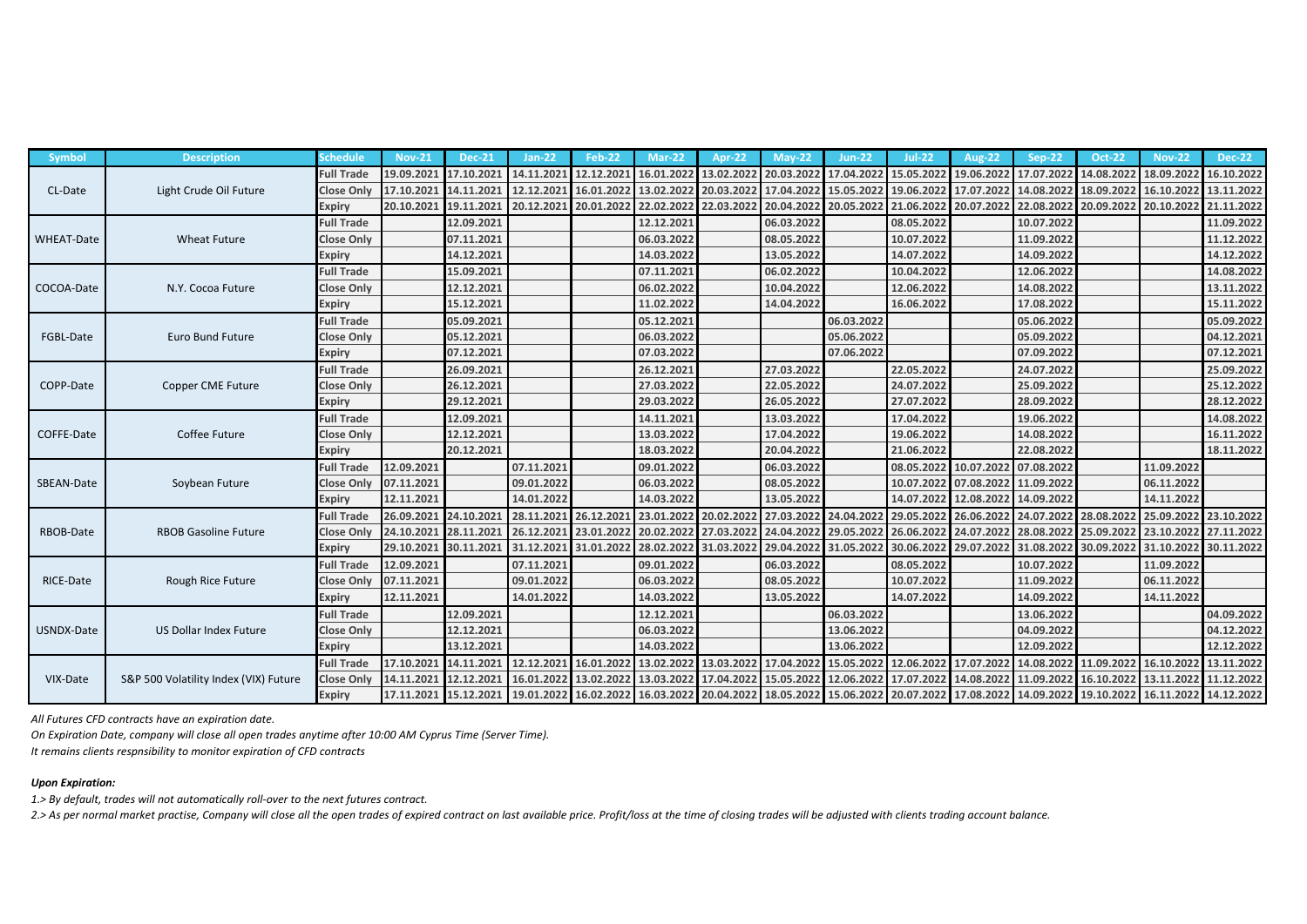| <b>Symbol</b>     | <b>Description</b>                    | <b>Schedule</b>   | $Nov-21$              | $Dec-21$   | Jan-22                                                                                                                              | Feb-22     | $Mar-22$   | Apr-22     | $May-22$   | <b>Jun-22</b> | $Jul-22$                | <b>Aug-22</b> | Sep-22     | <b>Oct-22</b> | <b>Nov-22</b> | <b>Dec-22</b> |
|-------------------|---------------------------------------|-------------------|-----------------------|------------|-------------------------------------------------------------------------------------------------------------------------------------|------------|------------|------------|------------|---------------|-------------------------|---------------|------------|---------------|---------------|---------------|
| CL-Date           | Light Crude Oil Future                | <b>Full Trade</b> | 19.09.2021            | 17.10.2021 | 14.11.2021                                                                                                                          | 12.12.2021 | 16.01.2022 | 13.02.2022 | 20.03.2022 | 17.04.2022    | 15.05.2022              | 19.06.2022    | 17.07.2022 | 14.08.2022    | 18.09.2022    | 16.10.2022    |
|                   |                                       | <b>Close Only</b> | 17.10.2021            | 14.11.202  | 12.12.202                                                                                                                           | 16.01.2022 | 13.02.2022 | 20.03.2022 | 17.04.2022 | 15.05.202     | 19.06.2022              | 17.07.2022    | 14.08.2022 | 18.09.2022    | 16.10.202     | 13.11.2022    |
|                   |                                       | <b>Expiry</b>     | 20.10.2021            | 19.11.202  | 20.12.2021                                                                                                                          | 20.01.2022 | 22.02.2022 | 22.03.2022 | 20.04.2022 | 20.05.202     | 21.06.2022              | 20.07.2022    | 22.08.2022 | 20.09.2022    | 20.10.2022    | 21.11.2022    |
| <b>WHEAT-Date</b> | <b>Wheat Future</b>                   | <b>Full Trade</b> |                       | 12.09.2021 |                                                                                                                                     |            | 12.12.2021 |            | 06.03.2022 |               | 08.05.2022              |               | 10.07.2022 |               |               | 11.09.2022    |
|                   |                                       | <b>Close Only</b> |                       | 07.11.2021 |                                                                                                                                     |            | 06.03.2022 |            | 08.05.2022 |               | 10.07.2022              |               | 11.09.2022 |               |               | 11.12.2022    |
|                   |                                       | <b>Expiry</b>     |                       | 14.12.2021 |                                                                                                                                     |            | 14.03.2022 |            | 13.05.2022 |               | 14.07.2022              |               | 14.09.2022 |               |               | 14.12.2022    |
| COCOA-Date        | N.Y. Cocoa Future                     | <b>Full Trade</b> |                       | 15.09.2021 |                                                                                                                                     |            | 07.11.2021 |            | 06.02.2022 |               | 10.04.2022              |               | 12.06.2022 |               |               | 14.08.2022    |
|                   |                                       | <b>Close Only</b> |                       | 12.12.2021 |                                                                                                                                     |            | 06.02.2022 |            | 10.04.2022 |               | 12.06.2022              |               | 14.08.2022 |               |               | 13.11.2022    |
|                   |                                       | <b>Expiry</b>     |                       | 15.12.2021 |                                                                                                                                     |            | 11.02.2022 |            | 14.04.2022 |               | 16.06.2022              |               | 17.08.2022 |               |               | 15.11.2022    |
| FGBL-Date         | Euro Bund Future                      | <b>Full Trade</b> |                       | 05.09.2021 |                                                                                                                                     |            | 05.12.2021 |            |            | 06.03.2022    |                         |               | 05.06.2022 |               |               | 05.09.2022    |
|                   |                                       | <b>Close Only</b> |                       | 05.12.2021 |                                                                                                                                     |            | 06.03.2022 |            |            | 05.06.2022    |                         |               | 05.09.2022 |               |               | 04.12.2021    |
|                   |                                       | <b>Expiry</b>     |                       | 07.12.2021 |                                                                                                                                     |            | 07.03.2022 |            |            | 07.06.2022    |                         |               | 07.09.2022 |               |               | 07.12.2021    |
| COPP-Date         | Copper CME Future                     | <b>Full Trade</b> |                       | 26.09.2021 |                                                                                                                                     |            | 26.12.2023 |            | 27.03.2022 |               | 22.05.2022              |               | 24.07.2022 |               |               | 25.09.2022    |
|                   |                                       | <b>Close Only</b> |                       | 26.12.2021 |                                                                                                                                     |            | 27.03.2022 |            | 22.05.2022 |               | 24.07.2022              |               | 25.09.2022 |               |               | 25.12.2022    |
|                   |                                       | <b>Expiry</b>     |                       | 29.12.2021 |                                                                                                                                     |            | 29.03.2022 |            | 26.05.2022 |               | 27.07.2022              |               | 28.09.2022 |               |               | 28.12.2022    |
| COFFE-Date        | Coffee Future                         | <b>Full Trade</b> |                       | 12.09.2021 |                                                                                                                                     |            | 14.11.2021 |            | 13.03.2022 |               | 17.04.2022              |               | 19.06.2022 |               |               | 14.08.2022    |
|                   |                                       | <b>Close Only</b> |                       | 12.12.2021 |                                                                                                                                     |            | 13.03.2022 |            | 17.04.2022 |               | 19.06.2022              |               | 14.08.2022 |               |               | 16.11.2022    |
|                   |                                       | <b>Expiry</b>     |                       | 20.12.2021 |                                                                                                                                     |            | 18.03.2022 |            | 20.04.2022 |               | 21.06.2022              |               | 22.08.2022 |               |               | 18.11.2022    |
| SBEAN-Date        | Soybean Future                        | <b>Full Trade</b> | 12.09.2021            |            | 07.11.2021                                                                                                                          |            | 09.01.2022 |            | 06.03.2022 |               | 08.05.2022              | 10.07.2022    | 07.08.2022 |               | 11.09.2022    |               |
|                   |                                       | <b>Close Only</b> | 07.11.2021            |            | 09.01.2022                                                                                                                          |            | 06.03.2022 |            | 08.05.2022 |               | 10.07.2022              | 07.08.2022    | 11.09.2022 |               | 06.11.2022    |               |
|                   |                                       | <b>Expiry</b>     | 12.11.2021            |            | 14.01.2022                                                                                                                          |            | 14.03.2022 |            | 13.05.2022 |               | 14.07.2022              | 12.08.2022    | 14.09.2022 |               | 14.11.2022    |               |
| RBOB-Date         | <b>RBOB Gasoline Future</b>           | <b>Full Trade</b> | 26.09.2021            | 24.10.202  | 28.11.202                                                                                                                           | 26.12.202  | 23.01.2022 | 20.02.2022 | 27.03.2022 | 24.04.20      | 29.05.2022              | 26.06.2022    | 24.07.2022 | 28.08.2022    | 25.09.2022    | 23.10.2022    |
|                   |                                       | <b>Close Only</b> | 24.10.2021            | 28.11.202  | 26.12.2021                                                                                                                          | 23.01.2022 | 20.02.2022 | 27.03.2022 | 24.04.2022 | 29.05.20      | 26.06.2022              | 24.07.2022    | 28.08.2022 | 25.09.2022    | 23.10.2022    | 27.11.2022    |
|                   |                                       | <b>Expiry</b>     | 29.10.2021            | 30.11.202  | 31.12.2021                                                                                                                          | 31.01.2022 | 28.02.2022 | 31.03.2022 | 29.04.2022 | 31.05.202     | 30.06.2022              | 29.07.2022    | 31.08.2022 | 30.09.2022    | 31.10.2022    | 30.11.2022    |
| RICE-Date         | Rough Rice Future                     | <b>Full Trade</b> | 12.09.2021            |            | 07.11.2021                                                                                                                          |            | 09.01.2022 |            | 06.03.2022 |               | 08.05.2022              |               | 10.07.2022 |               | 11.09.2022    |               |
|                   |                                       | <b>Close Only</b> | 07.11.2021            |            | 09.01.2022                                                                                                                          |            | 06.03.2022 |            | 08.05.2022 |               | 10.07.2022              |               | 11.09.2022 |               | 06.11.2022    |               |
|                   |                                       | <b>Expiry</b>     | 12.11.2021            |            | 14.01.2022                                                                                                                          |            | 14.03.2022 |            | 13.05.2022 |               | 14.07.2022              |               | 14.09.2022 |               | 14.11.2022    |               |
| USNDX-Date        | US Dollar Index Future                | <b>Full Trade</b> |                       | 12.09.2021 |                                                                                                                                     |            | 12.12.2021 |            |            | 06.03.2022    |                         |               | 13.06.2022 |               |               | 04.09.2022    |
|                   |                                       | <b>Close Only</b> |                       | 12.12.2021 |                                                                                                                                     |            | 06.03.2022 |            |            | 13.06.2022    |                         |               | 04.09.2022 |               |               | 04.12.2022    |
|                   |                                       | <b>Expiry</b>     |                       | 13.12.2021 |                                                                                                                                     |            | 14.03.2022 |            |            | 13.06.2022    |                         |               | 12.09.2022 |               |               | 12.12.2022    |
| VIX-Date          | S&P 500 Volatility Index (VIX) Future | <b>Full Trade</b> | 17.10.2021            | 14.11.2021 | 12.12.2021                                                                                                                          | 16.01.2022 | 13.02.2022 | 13.03.2022 | 17.04.2022 | 15.05.2022    | 2 12.06.2022 17.07.2022 |               | 14.08.2022 | 11.09.2022    | 16.10.2022    | 13.11.2022    |
|                   |                                       | <b>Close Only</b> | 14.11.2021            | 12.12.202  | 16.01.2022                                                                                                                          | 13.02.2022 | 13.03.2022 | 17.04.2022 | 15.05.2022 | 12.06.202     | 17.07.2022              | 14.08.2022    | 11.09.2022 | 16.10.2022    | 13.11.2022    | 11.12.2022    |
|                   |                                       | <b>Expiry</b>     | 17.11.2021 15.12.2021 |            | 10.01.2022 16.02.2022 16.03.2022 20.04.2022 18.05.2022 15.06.2022 20.07.2022 17.08.2022 14.09.2022 19.10.2022 16.11.2022 14.12.2022 |            |            |            |            |               |                         |               |            |               |               |               |

*All Futures CFD contracts have an expiration date.*

*On Expiration Date, company will close all open trades anytime after 10:00 AM Cyprus Time (Server Time).*

*It remains clients respnsibility to monitor expiration of CFD contracts*

## *Upon Expiration:*

*1.> By default, trades will not automatically roll-over to the next futures contract.*

*2.> As per normal market practise, Company will close all the open trades of expired contract on last available price. Profit/loss at the time of closing trades will be adjusted with clients trading account balance.*